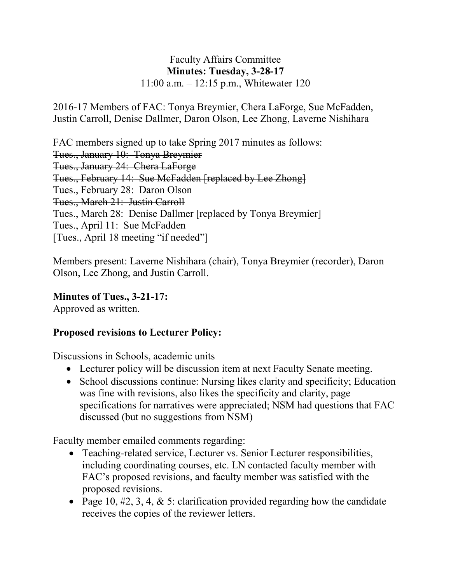#### Faculty Affairs Committee **Minutes: Tuesday, 3-28-17** 11:00 a.m. – 12:15 p.m., Whitewater 120

2016-17 Members of FAC: Tonya Breymier, Chera LaForge, Sue McFadden, Justin Carroll, Denise Dallmer, Daron Olson, Lee Zhong, Laverne Nishihara

FAC members signed up to take Spring 2017 minutes as follows: Tues., January 10: Tonya Breymier Tues., January 24: Chera LaForge Tues., February 14: Sue McFadden [replaced by Lee Zhong] Tues., February 28: Daron Olson Tues., March 21: Justin Carroll Tues., March 28: Denise Dallmer [replaced by Tonya Breymier] Tues., April 11: Sue McFadden [Tues., April 18 meeting "if needed"]

Members present: Laverne Nishihara (chair), Tonya Breymier (recorder), Daron Olson, Lee Zhong, and Justin Carroll.

**Minutes of Tues., 3-21-17:** Approved as written.

### **Proposed revisions to Lecturer Policy:**

Discussions in Schools, academic units

- Lecturer policy will be discussion item at next Faculty Senate meeting.
- School discussions continue: Nursing likes clarity and specificity; Education was fine with revisions, also likes the specificity and clarity, page specifications for narratives were appreciated; NSM had questions that FAC discussed (but no suggestions from NSM)

Faculty member emailed comments regarding:

- Teaching-related service, Lecturer vs. Senior Lecturer responsibilities, including coordinating courses, etc. LN contacted faculty member with FAC's proposed revisions, and faculty member was satisfied with the proposed revisions.
- Page 10,  $\#2$ , 3, 4, & 5: clarification provided regarding how the candidate receives the copies of the reviewer letters.